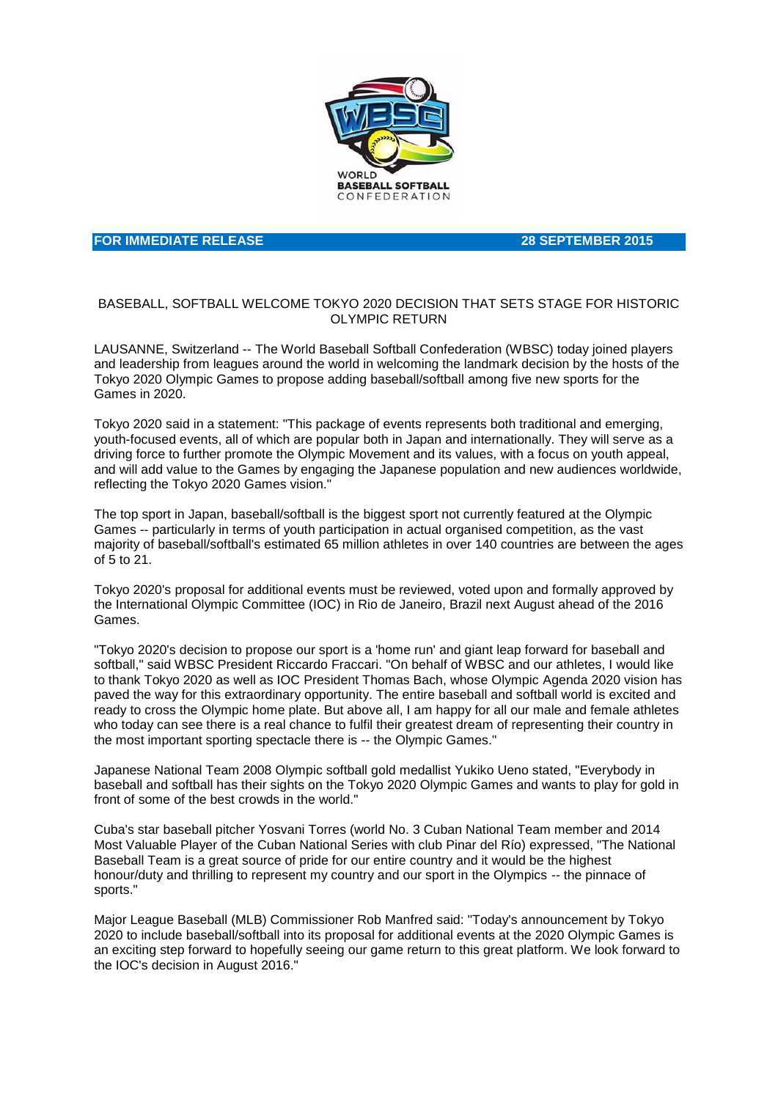

## **FOR IMMEDIATE RELEASE 28 SEPTEMBER 2015**

## BASEBALL, SOFTBALL WELCOME TOKYO 2020 DECISION THAT SETS STAGE FOR HISTORIC OLYMPIC RETURN

LAUSANNE, Switzerland -- The World Baseball Softball Confederation (WBSC) today joined players and leadership from leagues around the world in welcoming the landmark decision by the hosts of the Tokyo 2020 Olympic Games to propose adding baseball/softball among five new sports for the Games in 2020.

Tokyo 2020 said in a statement: "This package of events represents both traditional and emerging, youth-focused events, all of which are popular both in Japan and internationally. They will serve as a driving force to further promote the Olympic Movement and its values, with a focus on youth appeal, and will add value to the Games by engaging the Japanese population and new audiences worldwide, reflecting the Tokyo 2020 Games vision."

The top sport in Japan, baseball/softball is the biggest sport not currently featured at the Olympic Games -- particularly in terms of youth participation in actual organised competition, as the vast majority of baseball/softball's estimated 65 million athletes in over 140 countries are between the ages of 5 to 21.

Tokyo 2020's proposal for additional events must be reviewed, voted upon and formally approved by the International Olympic Committee (IOC) in Rio de Janeiro, Brazil next August ahead of the 2016 Games.

"Tokyo 2020's decision to propose our sport is a 'home run' and giant leap forward for baseball and softball," said WBSC President Riccardo Fraccari. "On behalf of WBSC and our athletes, I would like to thank Tokyo 2020 as well as IOC President Thomas Bach, whose Olympic Agenda 2020 vision has paved the way for this extraordinary opportunity. The entire baseball and softball world is excited and ready to cross the Olympic home plate. But above all, I am happy for all our male and female athletes who today can see there is a real chance to fulfil their greatest dream of representing their country in the most important sporting spectacle there is -- the Olympic Games."

Japanese National Team 2008 Olympic softball gold medallist Yukiko Ueno stated, "Everybody in baseball and softball has their sights on the Tokyo 2020 Olympic Games and wants to play for gold in front of some of the best crowds in the world."

Cuba's star baseball pitcher Yosvani Torres (world No. 3 Cuban National Team member and 2014 Most Valuable Player of the Cuban National Series with club Pinar del Río) expressed, "The National Baseball Team is a great source of pride for our entire country and it would be the highest honour/duty and thrilling to represent my country and our sport in the Olympics -- the pinnace of sports."

Major League Baseball (MLB) Commissioner Rob Manfred said: "Today's announcement by Tokyo 2020 to include baseball/softball into its proposal for additional events at the 2020 Olympic Games is an exciting step forward to hopefully seeing our game return to this great platform. We look forward to the IOC's decision in August 2016."